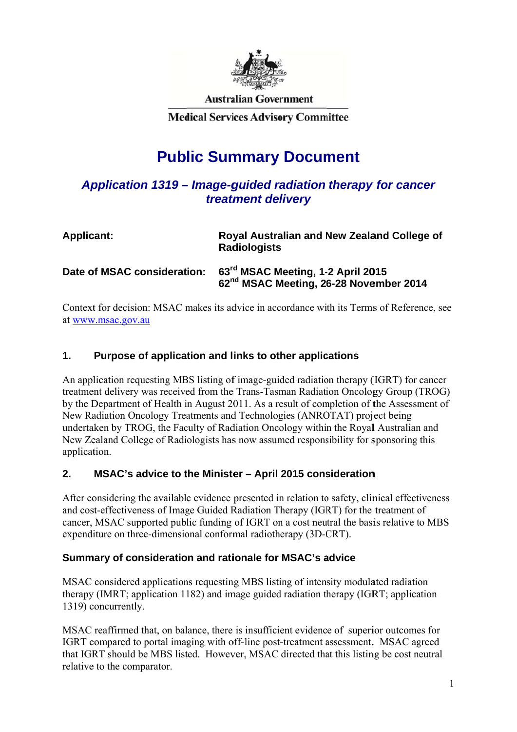

**Australian Government** 

**Medical Services Advisory Committee** 

# **Public Summary Document**

# Application 1319 – Image-guided radiation therapy for cancer *treatm ment del livery*

| <b>Applicant:</b>           | Royal Australian and New Zealand College of<br><b>Radiologists</b>                                  |  |
|-----------------------------|-----------------------------------------------------------------------------------------------------|--|
| Date of MSAC consideration: | 63 <sup>rd</sup> MSAC Meeting, 1-2 April 2015<br>62 <sup>nd</sup> MSAC Meeting, 26-28 November 2014 |  |

Context for decision: MSAC makes its advice in accordance with its Terms of Reference, see at <u>www.msac.gov.au</u>

#### **1. Purpose of application and links to other applications**

An application requesting MBS listing of image-guided radiation therapy (IGRT) for cancer treatment delivery was received from the Trans-Tasman Radiation Oncology Group (TROG) by the Department of Health in August 2011. As a result of completion of the Assessment of New Radiation Oncology Treatments and Technologies (ANROTAT) project being undertaken by TROG, the Faculty of Radiation Oncology within the Royal Australian and New Zealand College of Radiologists has now assumed responsibility for sponsoring this application.

#### **2. MSAC's advice to the Minister – April 2015 consideration**

After considering the available evidence presented in relation to safety, clinical effectiveness and cost-effectiveness of Image Guided Radiation Therapy (IGRT) for the treatment of cancer, MSAC supported public funding of IGRT on a cost neutral the basis relative to MBS expenditure on three-dimensional conformal radiotherapy (3D-CRT).

# **Summary of consideration and rationale for MSAC's advice**

MSAC considered applications requesting MBS listing of intensity modulated radiation therapy (IMRT; application 1182) and image guided radiation therapy (IGRT; application 1319) concurrently.

MSAC reaffirmed that, on balance, there is insufficient evidence of superior outcomes for IGRT compared to portal imaging with off-line post-treatment assessment. MSAC agreed that IGRT should be MBS listed. However, MSAC directed that this listing be cost neutral relative to the comparator.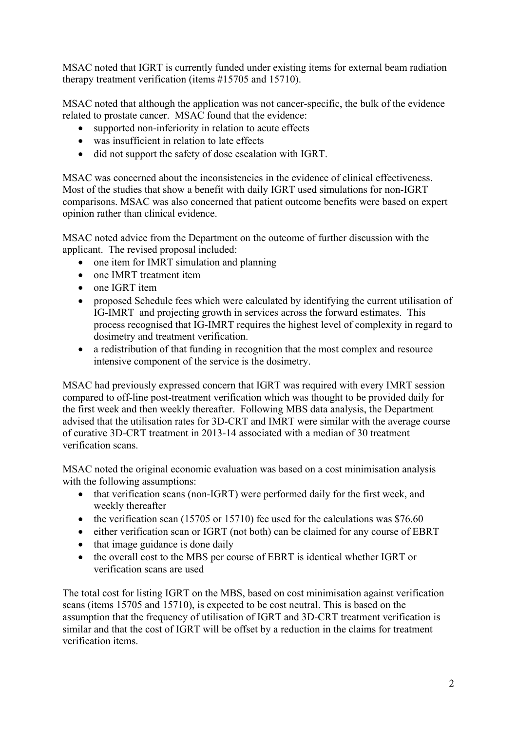MSAC noted that IGRT is currently funded under existing items for external beam radiation therapy treatment verification (items #15705 and 15710).

MSAC noted that although the application was not cancer-specific, the bulk of the evidence related to prostate cancer. MSAC found that the evidence:

- supported non-inferiority in relation to acute effects
- was insufficient in relation to late effects
- did not support the safety of dose escalation with IGRT.

MSAC was concerned about the inconsistencies in the evidence of clinical effectiveness. Most of the studies that show a benefit with daily IGRT used simulations for non-IGRT comparisons. MSAC was also concerned that patient outcome benefits were based on expert opinion rather than clinical evidence.

MSAC noted advice from the Department on the outcome of further discussion with the applicant. The revised proposal included:

- one item for IMRT simulation and planning
- one IMRT treatment item
- one IGRT item
- proposed Schedule fees which were calculated by identifying the current utilisation of IG-IMRT and projecting growth in services across the forward estimates. This process recognised that IG-IMRT requires the highest level of complexity in regard to dosimetry and treatment verification.
- a redistribution of that funding in recognition that the most complex and resource intensive component of the service is the dosimetry.

MSAC had previously expressed concern that IGRT was required with every IMRT session compared to off-line post-treatment verification which was thought to be provided daily for the first week and then weekly thereafter. Following MBS data analysis, the Department advised that the utilisation rates for 3D-CRT and IMRT were similar with the average course of curative 3D-CRT treatment in 2013-14 associated with a median of 30 treatment verification scans.

MSAC noted the original economic evaluation was based on a cost minimisation analysis with the following assumptions:

- that verification scans (non-IGRT) were performed daily for the first week, and weekly thereafter
- $\bullet$  the verification scan (15705 or 15710) fee used for the calculations was \$76.60
- either verification scan or IGRT (not both) can be claimed for any course of EBRT
- that image guidance is done daily
- the overall cost to the MBS per course of EBRT is identical whether IGRT or verification scans are used

The total cost for listing IGRT on the MBS, based on cost minimisation against verification scans (items 15705 and 15710), is expected to be cost neutral. This is based on the assumption that the frequency of utilisation of IGRT and 3D-CRT treatment verification is similar and that the cost of IGRT will be offset by a reduction in the claims for treatment verification items.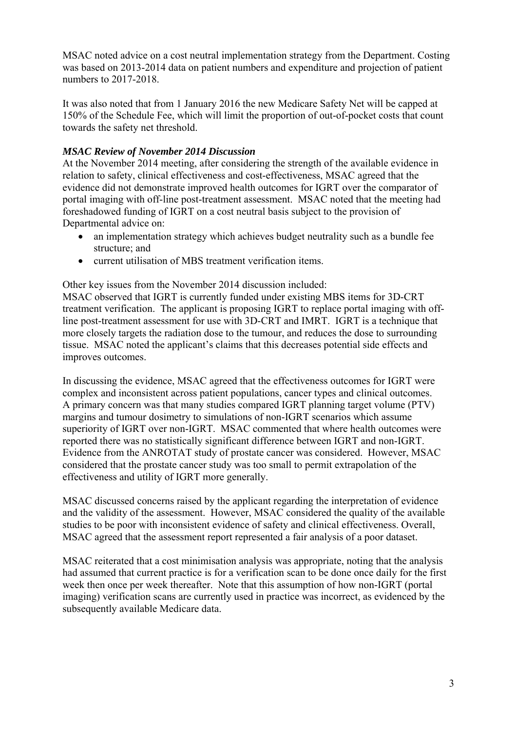MSAC noted advice on a cost neutral implementation strategy from the Department. Costing was based on 2013-2014 data on patient numbers and expenditure and projection of patient numbers to 2017-2018.

It was also noted that from 1 January 2016 the new Medicare Safety Net will be capped at 150% of the Schedule Fee, which will limit the proportion of out-of-pocket costs that count towards the safety net threshold.

#### *MSAC Review of November 2014 Discussion*

At the November 2014 meeting, after considering the strength of the available evidence in relation to safety, clinical effectiveness and cost-effectiveness, MSAC agreed that the evidence did not demonstrate improved health outcomes for IGRT over the comparator of portal imaging with off-line post-treatment assessment. MSAC noted that the meeting had foreshadowed funding of IGRT on a cost neutral basis subject to the provision of Departmental advice on:

- an implementation strategy which achieves budget neutrality such as a bundle fee structure; and
- current utilisation of MBS treatment verification items.

Other key issues from the November 2014 discussion included:

MSAC observed that IGRT is currently funded under existing MBS items for 3D-CRT treatment verification. The applicant is proposing IGRT to replace portal imaging with offline post-treatment assessment for use with 3D-CRT and IMRT. IGRT is a technique that more closely targets the radiation dose to the tumour, and reduces the dose to surrounding tissue. MSAC noted the applicant's claims that this decreases potential side effects and improves outcomes.

In discussing the evidence, MSAC agreed that the effectiveness outcomes for IGRT were complex and inconsistent across patient populations, cancer types and clinical outcomes. A primary concern was that many studies compared IGRT planning target volume (PTV) margins and tumour dosimetry to simulations of non-IGRT scenarios which assume superiority of IGRT over non-IGRT. MSAC commented that where health outcomes were reported there was no statistically significant difference between IGRT and non-IGRT. Evidence from the ANROTAT study of prostate cancer was considered. However, MSAC considered that the prostate cancer study was too small to permit extrapolation of the effectiveness and utility of IGRT more generally.

MSAC discussed concerns raised by the applicant regarding the interpretation of evidence and the validity of the assessment. However, MSAC considered the quality of the available studies to be poor with inconsistent evidence of safety and clinical effectiveness. Overall, MSAC agreed that the assessment report represented a fair analysis of a poor dataset.

MSAC reiterated that a cost minimisation analysis was appropriate, noting that the analysis had assumed that current practice is for a verification scan to be done once daily for the first week then once per week thereafter. Note that this assumption of how non-IGRT (portal imaging) verification scans are currently used in practice was incorrect, as evidenced by the subsequently available Medicare data.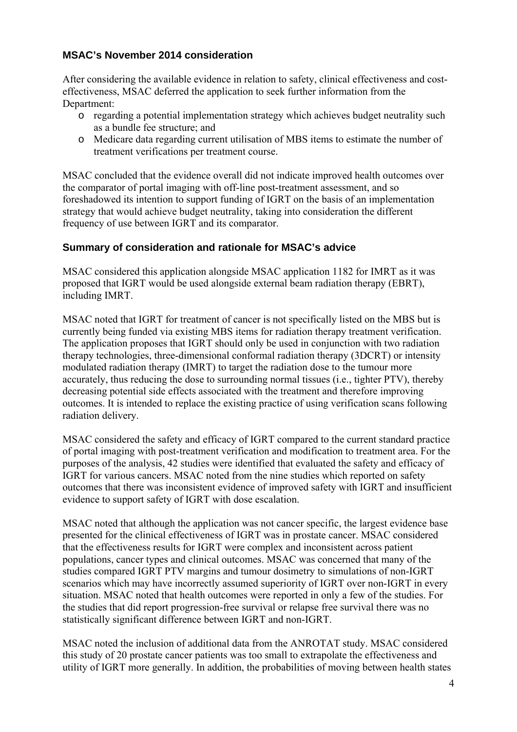# **MSAC's November 2014 consideration**

After considering the available evidence in relation to safety, clinical effectiveness and costeffectiveness, MSAC deferred the application to seek further information from the Department:

- o regarding a potential implementation strategy which achieves budget neutrality such as a bundle fee structure; and
- o Medicare data regarding current utilisation of MBS items to estimate the number of treatment verifications per treatment course.

MSAC concluded that the evidence overall did not indicate improved health outcomes over the comparator of portal imaging with off-line post-treatment assessment, and so foreshadowed its intention to support funding of IGRT on the basis of an implementation strategy that would achieve budget neutrality, taking into consideration the different frequency of use between IGRT and its comparator.

# **Summary of consideration and rationale for MSAC's advice**

MSAC considered this application alongside MSAC application 1182 for IMRT as it was proposed that IGRT would be used alongside external beam radiation therapy (EBRT), including IMRT.

MSAC noted that IGRT for treatment of cancer is not specifically listed on the MBS but is currently being funded via existing MBS items for radiation therapy treatment verification. The application proposes that IGRT should only be used in conjunction with two radiation therapy technologies, three-dimensional conformal radiation therapy (3DCRT) or intensity modulated radiation therapy (IMRT) to target the radiation dose to the tumour more accurately, thus reducing the dose to surrounding normal tissues (i.e., tighter PTV), thereby decreasing potential side effects associated with the treatment and therefore improving outcomes. It is intended to replace the existing practice of using verification scans following radiation delivery.

MSAC considered the safety and efficacy of IGRT compared to the current standard practice of portal imaging with post-treatment verification and modification to treatment area. For the purposes of the analysis, 42 studies were identified that evaluated the safety and efficacy of IGRT for various cancers. MSAC noted from the nine studies which reported on safety outcomes that there was inconsistent evidence of improved safety with IGRT and insufficient evidence to support safety of IGRT with dose escalation.

MSAC noted that although the application was not cancer specific, the largest evidence base presented for the clinical effectiveness of IGRT was in prostate cancer. MSAC considered that the effectiveness results for IGRT were complex and inconsistent across patient populations, cancer types and clinical outcomes. MSAC was concerned that many of the studies compared IGRT PTV margins and tumour dosimetry to simulations of non-IGRT scenarios which may have incorrectly assumed superiority of IGRT over non-IGRT in every situation. MSAC noted that health outcomes were reported in only a few of the studies. For the studies that did report progression-free survival or relapse free survival there was no statistically significant difference between IGRT and non-IGRT.

MSAC noted the inclusion of additional data from the ANROTAT study. MSAC considered this study of 20 prostate cancer patients was too small to extrapolate the effectiveness and utility of IGRT more generally. In addition, the probabilities of moving between health states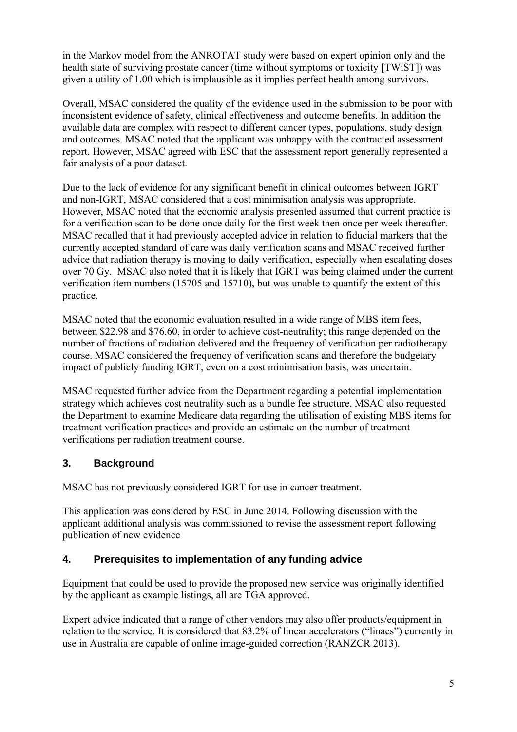in the Markov model from the ANROTAT study were based on expert opinion only and the health state of surviving prostate cancer (time without symptoms or toxicity [TWiST]) was given a utility of 1.00 which is implausible as it implies perfect health among survivors.

Overall, MSAC considered the quality of the evidence used in the submission to be poor with inconsistent evidence of safety, clinical effectiveness and outcome benefits. In addition the available data are complex with respect to different cancer types, populations, study design and outcomes. MSAC noted that the applicant was unhappy with the contracted assessment report. However, MSAC agreed with ESC that the assessment report generally represented a fair analysis of a poor dataset.

Due to the lack of evidence for any significant benefit in clinical outcomes between IGRT and non-IGRT, MSAC considered that a cost minimisation analysis was appropriate. However, MSAC noted that the economic analysis presented assumed that current practice is for a verification scan to be done once daily for the first week then once per week thereafter. MSAC recalled that it had previously accepted advice in relation to fiducial markers that the currently accepted standard of care was daily verification scans and MSAC received further advice that radiation therapy is moving to daily verification, especially when escalating doses over 70 Gy. MSAC also noted that it is likely that IGRT was being claimed under the current verification item numbers (15705 and 15710), but was unable to quantify the extent of this practice.

MSAC noted that the economic evaluation resulted in a wide range of MBS item fees, between \$22.98 and \$76.60, in order to achieve cost-neutrality; this range depended on the number of fractions of radiation delivered and the frequency of verification per radiotherapy course. MSAC considered the frequency of verification scans and therefore the budgetary impact of publicly funding IGRT, even on a cost minimisation basis, was uncertain.

MSAC requested further advice from the Department regarding a potential implementation strategy which achieves cost neutrality such as a bundle fee structure. MSAC also requested the Department to examine Medicare data regarding the utilisation of existing MBS items for treatment verification practices and provide an estimate on the number of treatment verifications per radiation treatment course.

# **3. Background**

MSAC has not previously considered IGRT for use in cancer treatment.

This application was considered by ESC in June 2014. Following discussion with the applicant additional analysis was commissioned to revise the assessment report following publication of new evidence

# **4. Prerequisites to implementation of any funding advice**

Equipment that could be used to provide the proposed new service was originally identified by the applicant as example listings, all are TGA approved.

Expert advice indicated that a range of other vendors may also offer products/equipment in relation to the service. It is considered that 83.2% of linear accelerators ("linacs") currently in use in Australia are capable of online image-guided correction (RANZCR 2013).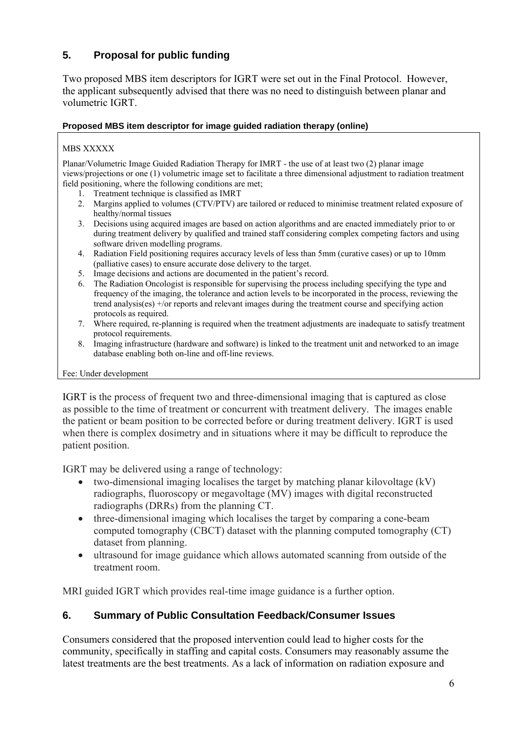# **5. Proposal for public funding**

Two proposed MBS item descriptors for IGRT were set out in the Final Protocol. However, the applicant subsequently advised that there was no need to distinguish between planar and volumetric IGRT.

#### **Proposed MBS item descriptor for image guided radiation therapy (online)**

#### MBS XXXXX

Planar/Volumetric Image Guided Radiation Therapy for IMRT - the use of at least two (2) planar image views/projections or one (1) volumetric image set to facilitate a three dimensional adjustment to radiation treatment field positioning, where the following conditions are met;

- 1. Treatment technique is classified as IMRT
- 2. Margins applied to volumes (CTV/PTV) are tailored or reduced to minimise treatment related exposure of healthy/normal tissues
- 3. Decisions using acquired images are based on action algorithms and are enacted immediately prior to or during treatment delivery by qualified and trained staff considering complex competing factors and using software driven modelling programs.
- 4. Radiation Field positioning requires accuracy levels of less than 5mm (curative cases) or up to 10mm (palliative cases) to ensure accurate dose delivery to the target.
- 5. Image decisions and actions are documented in the patient's record.
- 6. The Radiation Oncologist is responsible for supervising the process including specifying the type and frequency of the imaging, the tolerance and action levels to be incorporated in the process, reviewing the trend analysis(es) +/or reports and relevant images during the treatment course and specifying action protocols as required.
- 7. Where required, re-planning is required when the treatment adjustments are inadequate to satisfy treatment protocol requirements.
- 8. Imaging infrastructure (hardware and software) is linked to the treatment unit and networked to an image database enabling both on-line and off-line reviews.

#### Fee: Under development

IGRT is the process of frequent two and three-dimensional imaging that is captured as close as possible to the time of treatment or concurrent with treatment delivery. The images enable the patient or beam position to be corrected before or during treatment delivery. IGRT is used when there is complex dosimetry and in situations where it may be difficult to reproduce the patient position.

IGRT may be delivered using a range of technology:

- two-dimensional imaging localises the target by matching planar kilovoltage (kV) radiographs, fluoroscopy or megavoltage (MV) images with digital reconstructed radiographs (DRRs) from the planning CT.
- three-dimensional imaging which localises the target by comparing a cone-beam computed tomography (CBCT) dataset with the planning computed tomography (CT) dataset from planning.
- ultrasound for image guidance which allows automated scanning from outside of the treatment room.

MRI guided IGRT which provides real-time image guidance is a further option.

#### **6. Summary of Public Consultation Feedback/Consumer Issues**

Consumers considered that the proposed intervention could lead to higher costs for the community, specifically in staffing and capital costs. Consumers may reasonably assume the latest treatments are the best treatments. As a lack of information on radiation exposure and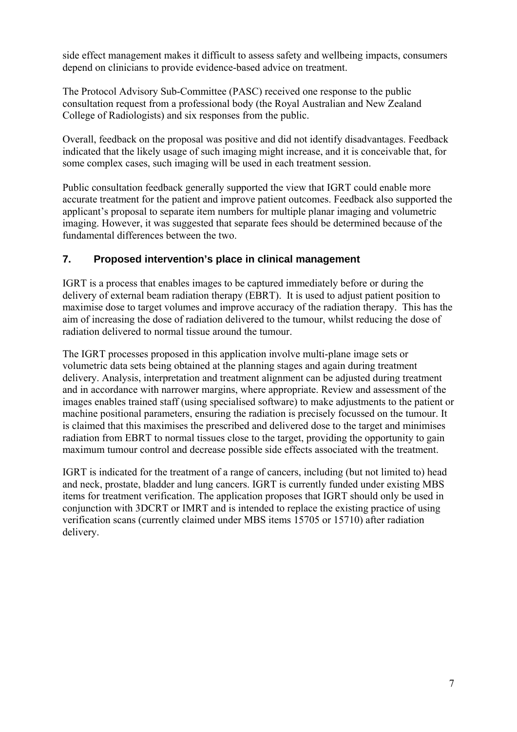side effect management makes it difficult to assess safety and wellbeing impacts, consumers depend on clinicians to provide evidence-based advice on treatment.

The Protocol Advisory Sub-Committee (PASC) received one response to the public consultation request from a professional body (the Royal Australian and New Zealand College of Radiologists) and six responses from the public.

Overall, feedback on the proposal was positive and did not identify disadvantages. Feedback indicated that the likely usage of such imaging might increase, and it is conceivable that, for some complex cases, such imaging will be used in each treatment session.

Public consultation feedback generally supported the view that IGRT could enable more accurate treatment for the patient and improve patient outcomes. Feedback also supported the applicant's proposal to separate item numbers for multiple planar imaging and volumetric imaging. However, it was suggested that separate fees should be determined because of the fundamental differences between the two.

# **7. Proposed intervention's place in clinical management**

IGRT is a process that enables images to be captured immediately before or during the delivery of external beam radiation therapy (EBRT). It is used to adjust patient position to maximise dose to target volumes and improve accuracy of the radiation therapy. This has the aim of increasing the dose of radiation delivered to the tumour, whilst reducing the dose of radiation delivered to normal tissue around the tumour.

The IGRT processes proposed in this application involve multi-plane image sets or volumetric data sets being obtained at the planning stages and again during treatment delivery. Analysis, interpretation and treatment alignment can be adjusted during treatment and in accordance with narrower margins, where appropriate. Review and assessment of the images enables trained staff (using specialised software) to make adjustments to the patient or machine positional parameters, ensuring the radiation is precisely focussed on the tumour. It is claimed that this maximises the prescribed and delivered dose to the target and minimises radiation from EBRT to normal tissues close to the target, providing the opportunity to gain maximum tumour control and decrease possible side effects associated with the treatment.

IGRT is indicated for the treatment of a range of cancers, including (but not limited to) head and neck, prostate, bladder and lung cancers. IGRT is currently funded under existing MBS items for treatment verification. The application proposes that IGRT should only be used in conjunction with 3DCRT or IMRT and is intended to replace the existing practice of using verification scans (currently claimed under MBS items 15705 or 15710) after radiation delivery.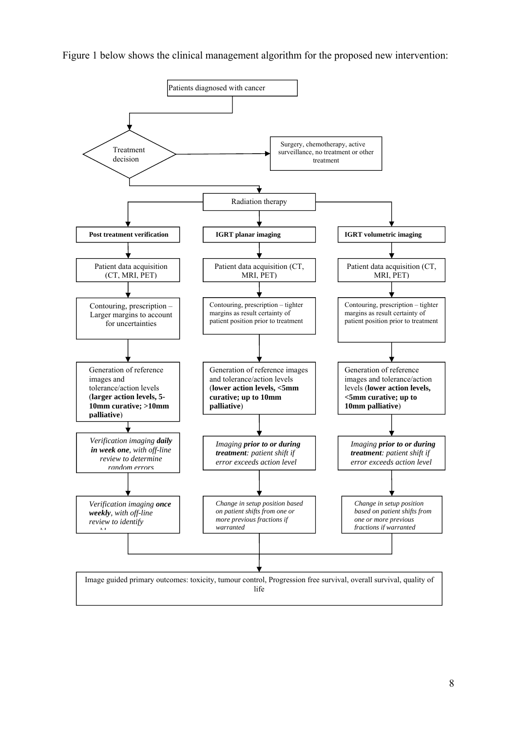Figure 1 below shows the clinical management algorithm for the proposed new intervention:

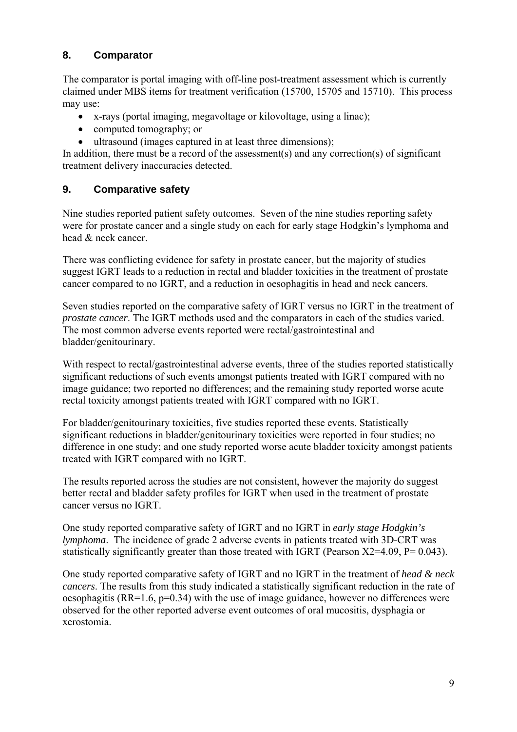# **8. Comparator**

The comparator is portal imaging with off-line post-treatment assessment which is currently claimed under MBS items for treatment verification (15700, 15705 and 15710). This process may use:

- x-rays (portal imaging, megavoltage or kilovoltage, using a linac);
- computed tomography; or
- ultrasound (images captured in at least three dimensions);

In addition, there must be a record of the assessment(s) and any correction(s) of significant treatment delivery inaccuracies detected.

# **9. Comparative safety**

Nine studies reported patient safety outcomes. Seven of the nine studies reporting safety were for prostate cancer and a single study on each for early stage Hodgkin's lymphoma and head & neck cancer.

There was conflicting evidence for safety in prostate cancer, but the majority of studies suggest IGRT leads to a reduction in rectal and bladder toxicities in the treatment of prostate cancer compared to no IGRT, and a reduction in oesophagitis in head and neck cancers.

Seven studies reported on the comparative safety of IGRT versus no IGRT in the treatment of *prostate cancer*. The IGRT methods used and the comparators in each of the studies varied. The most common adverse events reported were rectal/gastrointestinal and bladder/genitourinary.

With respect to rectal/gastrointestinal adverse events, three of the studies reported statistically significant reductions of such events amongst patients treated with IGRT compared with no image guidance; two reported no differences; and the remaining study reported worse acute rectal toxicity amongst patients treated with IGRT compared with no IGRT.

For bladder/genitourinary toxicities, five studies reported these events. Statistically significant reductions in bladder/genitourinary toxicities were reported in four studies; no difference in one study; and one study reported worse acute bladder toxicity amongst patients treated with IGRT compared with no IGRT.

The results reported across the studies are not consistent, however the majority do suggest better rectal and bladder safety profiles for IGRT when used in the treatment of prostate cancer versus no IGRT.

One study reported comparative safety of IGRT and no IGRT in *early stage Hodgkin's lymphoma*. The incidence of grade 2 adverse events in patients treated with 3D-CRT was statistically significantly greater than those treated with IGRT (Pearson Χ2=4.09, P= 0.043).

One study reported comparative safety of IGRT and no IGRT in the treatment of *head & neck cancers*. The results from this study indicated a statistically significant reduction in the rate of oesophagitis ( $RR=1.6$ ,  $p=0.34$ ) with the use of image guidance, however no differences were observed for the other reported adverse event outcomes of oral mucositis, dysphagia or xerostomia.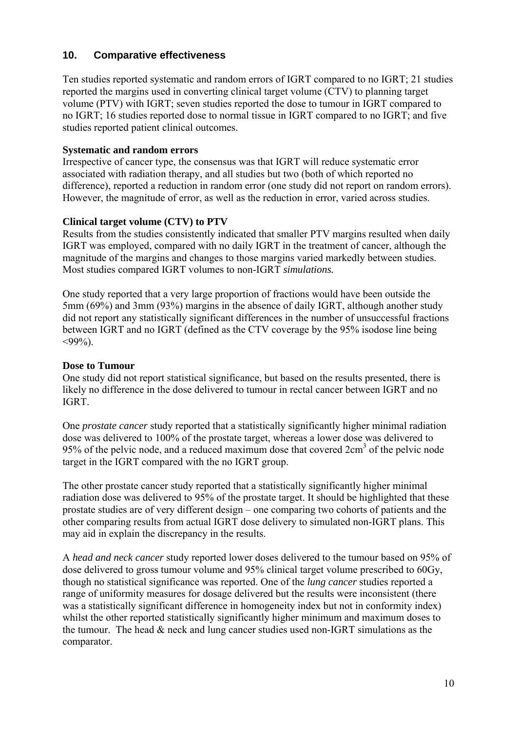#### **10. Comparative effectiveness**

Ten studies reported systematic and random errors of IGRT compared to no IGRT; 21 studies reported the margins used in converting clinical target volume (CTV) to planning target volume (PTV) with IGRT; seven studies reported the dose to tumour in IGRT compared to no IGRT; 16 studies reported dose to normal tissue in IGRT compared to no IGRT; and five studies reported patient clinical outcomes.

#### **Systematic and random errors**

Irrespective of cancer type, the consensus was that IGRT will reduce systematic error associated with radiation therapy, and all studies but two (both of which reported no difference), reported a reduction in random error (one study did not report on random errors). However, the magnitude of error, as well as the reduction in error, varied across studies.

#### **Clinical target volume (CTV) to PTV**

Results from the studies consistently indicated that smaller PTV margins resulted when daily IGRT was employed, compared with no daily IGRT in the treatment of cancer, although the magnitude of the margins and changes to those margins varied markedly between studies. Most studies compared IGRT volumes to non-IGRT *simulations.* 

One study reported that a very large proportion of fractions would have been outside the 5mm (69%) and 3mm (93%) margins in the absence of daily IGRT, although another study did not report any statistically significant differences in the number of unsuccessful fractions between IGRT and no IGRT (defined as the CTV coverage by the 95% isodose line being  $<$ 99%).

#### **Dose to Tumour**

One study did not report statistical significance, but based on the results presented, there is likely no difference in the dose delivered to tumour in rectal cancer between IGRT and no IGRT.

One *prostate cancer* study reported that a statistically significantly higher minimal radiation dose was delivered to 100% of the prostate target, whereas a lower dose was delivered to 95% of the pelvic node, and a reduced maximum dose that covered 2cm<sup>3</sup> of the pelvic node target in the IGRT compared with the no IGRT group.

The other prostate cancer study reported that a statistically significantly higher minimal radiation dose was delivered to 95% of the prostate target. It should be highlighted that these prostate studies are of very different design – one comparing two cohorts of patients and the other comparing results from actual IGRT dose delivery to simulated non-IGRT plans. This may aid in explain the discrepancy in the results.

A *head and neck cancer* study reported lower doses delivered to the tumour based on 95% of dose delivered to gross tumour volume and 95% clinical target volume prescribed to 60Gy, though no statistical significance was reported. One of the *lung cancer* studies reported a range of uniformity measures for dosage delivered but the results were inconsistent (there was a statistically significant difference in homogeneity index but not in conformity index) whilst the other reported statistically significantly higher minimum and maximum doses to the tumour. The head & neck and lung cancer studies used non-IGRT simulations as the comparator.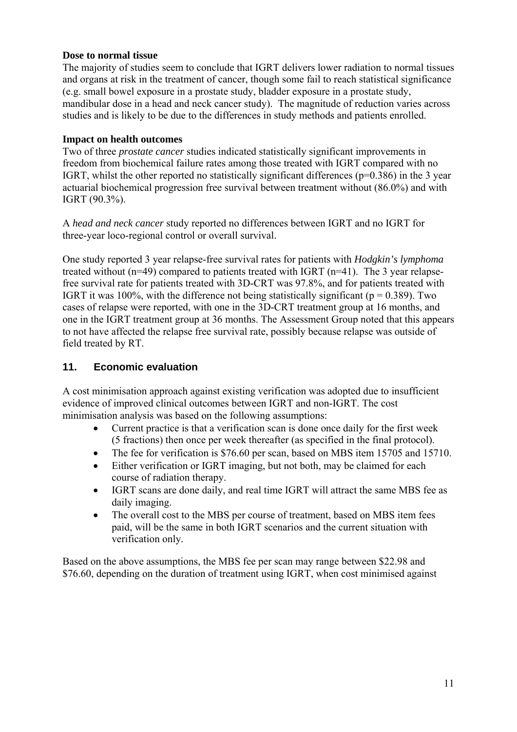#### **Dose to normal tissue**

The majority of studies seem to conclude that IGRT delivers lower radiation to normal tissues and organs at risk in the treatment of cancer, though some fail to reach statistical significance (e.g. small bowel exposure in a prostate study, bladder exposure in a prostate study, mandibular dose in a head and neck cancer study). The magnitude of reduction varies across studies and is likely to be due to the differences in study methods and patients enrolled.

#### **Impact on health outcomes**

Two of three *prostate cancer* studies indicated statistically significant improvements in freedom from biochemical failure rates among those treated with IGRT compared with no IGRT, whilst the other reported no statistically significant differences ( $p=0.386$ ) in the 3 year actuarial biochemical progression free survival between treatment without (86.0%) and with IGRT (90.3%).

A *head and neck cancer* study reported no differences between IGRT and no IGRT for three-year loco-regional control or overall survival.

One study reported 3 year relapse-free survival rates for patients with *Hodgkin's lymphoma* treated without (n=49) compared to patients treated with IGRT (n=41). The 3 year relapsefree survival rate for patients treated with 3D-CRT was 97.8%, and for patients treated with IGRT it was 100%, with the difference not being statistically significant ( $p = 0.389$ ). Two cases of relapse were reported, with one in the 3D-CRT treatment group at 16 months, and one in the IGRT treatment group at 36 months. The Assessment Group noted that this appears to not have affected the relapse free survival rate, possibly because relapse was outside of field treated by RT.

#### **11. Economic evaluation**

A cost minimisation approach against existing verification was adopted due to insufficient evidence of improved clinical outcomes between IGRT and non-IGRT. The cost minimisation analysis was based on the following assumptions:

- Current practice is that a verification scan is done once daily for the first week (5 fractions) then once per week thereafter (as specified in the final protocol).
- The fee for verification is \$76.60 per scan, based on MBS item 15705 and 15710.
- Either verification or IGRT imaging, but not both, may be claimed for each course of radiation therapy.
- IGRT scans are done daily, and real time IGRT will attract the same MBS fee as daily imaging.
- The overall cost to the MBS per course of treatment, based on MBS item fees paid, will be the same in both IGRT scenarios and the current situation with verification only.

Based on the above assumptions, the MBS fee per scan may range between \$22.98 and \$76.60, depending on the duration of treatment using IGRT, when cost minimised against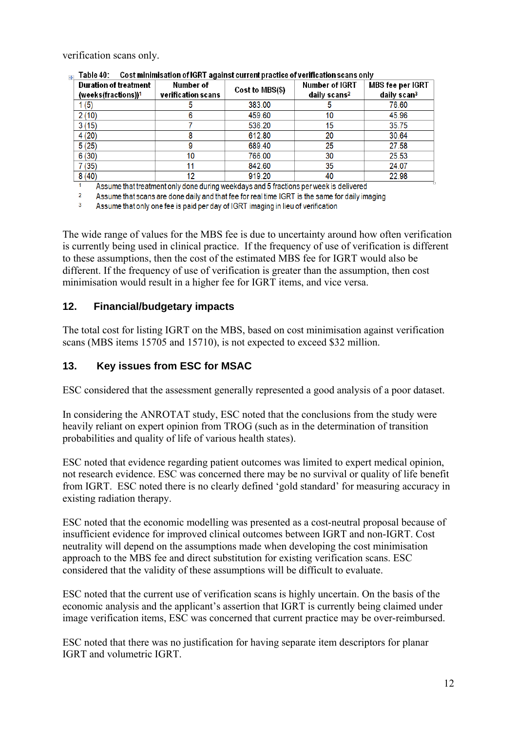verification scans only.

| Duration of treatment<br>(weeks(fractions)) <sup>1</sup> | Number of<br>verification scans | Cost to MBS(\$) | <b>Number of IGRT</b><br>daily scans <sup>2</sup> | MBS fee per IGRT<br>daily scan <sup>3</sup> |
|----------------------------------------------------------|---------------------------------|-----------------|---------------------------------------------------|---------------------------------------------|
| 1 (5)                                                    |                                 | 383.00          |                                                   | 76.60                                       |
| 2(10)                                                    | 6                               | 459.60          | 10                                                | 45.96                                       |
| 3(15)                                                    |                                 | 536.20          | 15                                                | 35.75                                       |
| 4(20)                                                    |                                 | 612.80          | 20                                                | 30.64                                       |
| 5(25)                                                    |                                 | 689.40          | 25                                                | 27.58                                       |
| 6(30)                                                    | 10                              | 766.00          | 30                                                | 25.53                                       |
| 7 (35)                                                   |                                 | 842.60          | 35                                                | 24.07                                       |
| 8(40)                                                    | 12                              | 919.20          | 40                                                | 22.98                                       |

 $\rm{m}$  Table 40:  $\rm{Cost}$  minimisation of IGRT against current practice of verification scans only

 $\overline{1}$ Assume that treatment only done during weekdays and 5 fractions per week is delivered

 $\overline{2}$ Assume that scans are done daily and that fee for real time IGRT is the same for daily imaging

 $\overline{3}$ Assume that only one fee is paid per day of IGRT imaging in lieu of verification

The wide range of values for the MBS fee is due to uncertainty around how often verification is currently being used in clinical practice. If the frequency of use of verification is different to these assumptions, then the cost of the estimated MBS fee for IGRT would also be different. If the frequency of use of verification is greater than the assumption, then cost minimisation would result in a higher fee for IGRT items, and vice versa.

#### **12. Financial/budgetary impacts**

The total cost for listing IGRT on the MBS, based on cost minimisation against verification scans (MBS items 15705 and 15710), is not expected to exceed \$32 million.

# **13. Key issues from ESC for MSAC**

ESC considered that the assessment generally represented a good analysis of a poor dataset.

In considering the ANROTAT study, ESC noted that the conclusions from the study were heavily reliant on expert opinion from TROG (such as in the determination of transition probabilities and quality of life of various health states).

ESC noted that evidence regarding patient outcomes was limited to expert medical opinion, not research evidence. ESC was concerned there may be no survival or quality of life benefit from IGRT. ESC noted there is no clearly defined 'gold standard' for measuring accuracy in existing radiation therapy.

ESC noted that the economic modelling was presented as a cost-neutral proposal because of insufficient evidence for improved clinical outcomes between IGRT and non-IGRT. Cost neutrality will depend on the assumptions made when developing the cost minimisation approach to the MBS fee and direct substitution for existing verification scans. ESC considered that the validity of these assumptions will be difficult to evaluate.

ESC noted that the current use of verification scans is highly uncertain. On the basis of the economic analysis and the applicant's assertion that IGRT is currently being claimed under image verification items, ESC was concerned that current practice may be over-reimbursed.

ESC noted that there was no justification for having separate item descriptors for planar IGRT and volumetric IGRT.